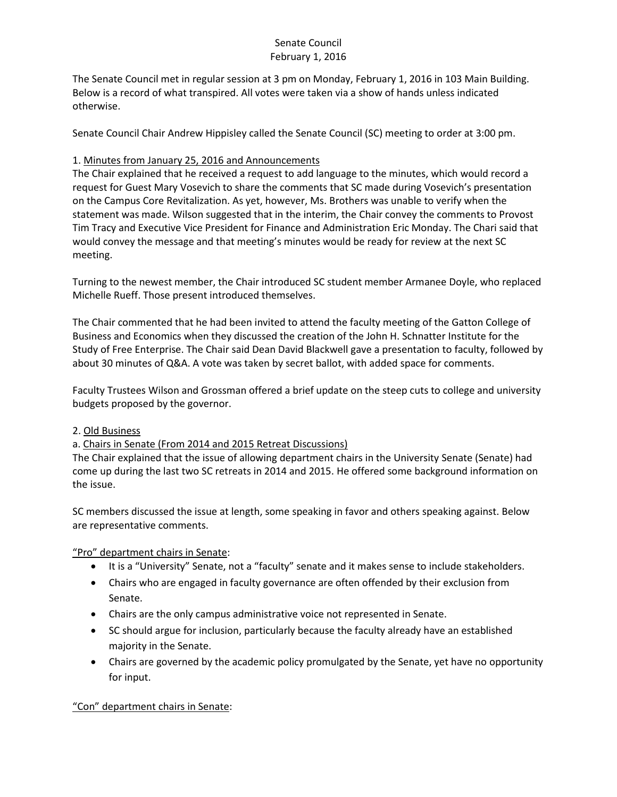The Senate Council met in regular session at 3 pm on Monday, February 1, 2016 in 103 Main Building. Below is a record of what transpired. All votes were taken via a show of hands unless indicated otherwise.

Senate Council Chair Andrew Hippisley called the Senate Council (SC) meeting to order at 3:00 pm.

### 1. Minutes from January 25, 2016 and Announcements

The Chair explained that he received a request to add language to the minutes, which would record a request for Guest Mary Vosevich to share the comments that SC made during Vosevich's presentation on the Campus Core Revitalization. As yet, however, Ms. Brothers was unable to verify when the statement was made. Wilson suggested that in the interim, the Chair convey the comments to Provost Tim Tracy and Executive Vice President for Finance and Administration Eric Monday. The Chari said that would convey the message and that meeting's minutes would be ready for review at the next SC meeting.

Turning to the newest member, the Chair introduced SC student member Armanee Doyle, who replaced Michelle Rueff. Those present introduced themselves.

The Chair commented that he had been invited to attend the faculty meeting of the Gatton College of Business and Economics when they discussed the creation of the John H. Schnatter Institute for the Study of Free Enterprise. The Chair said Dean David Blackwell gave a presentation to faculty, followed by about 30 minutes of Q&A. A vote was taken by secret ballot, with added space for comments.

Faculty Trustees Wilson and Grossman offered a brief update on the steep cuts to college and university budgets proposed by the governor.

### 2. Old Business

# a. Chairs in Senate (From 2014 and 2015 Retreat Discussions)

The Chair explained that the issue of allowing department chairs in the University Senate (Senate) had come up during the last two SC retreats in 2014 and 2015. He offered some background information on the issue.

SC members discussed the issue at length, some speaking in favor and others speaking against. Below are representative comments.

### "Pro" department chairs in Senate:

- It is a "University" Senate, not a "faculty" senate and it makes sense to include stakeholders.
- Chairs who are engaged in faculty governance are often offended by their exclusion from Senate.
- Chairs are the only campus administrative voice not represented in Senate.
- SC should argue for inclusion, particularly because the faculty already have an established majority in the Senate.
- Chairs are governed by the academic policy promulgated by the Senate, yet have no opportunity for input.

# "Con" department chairs in Senate: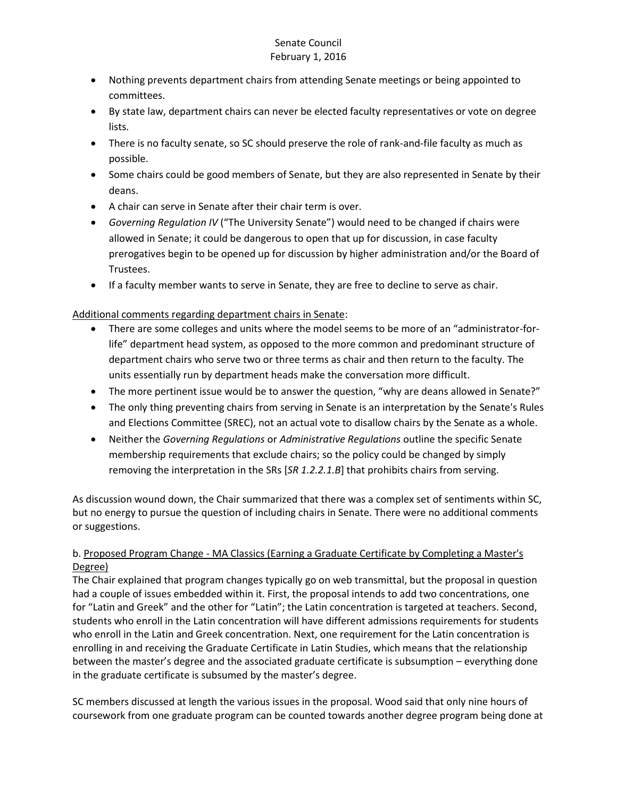- Nothing prevents department chairs from attending Senate meetings or being appointed to committees.
- By state law, department chairs can never be elected faculty representatives or vote on degree lists.
- There is no faculty senate, so SC should preserve the role of rank-and-file faculty as much as possible.
- Some chairs could be good members of Senate, but they are also represented in Senate by their deans.
- A chair can serve in Senate after their chair term is over.
- *Governing Regulation IV* ("The University Senate") would need to be changed if chairs were allowed in Senate; it could be dangerous to open that up for discussion, in case faculty prerogatives begin to be opened up for discussion by higher administration and/or the Board of Trustees.
- If a faculty member wants to serve in Senate, they are free to decline to serve as chair.

Additional comments regarding department chairs in Senate:

- There are some colleges and units where the model seems to be more of an "administrator-forlife" department head system, as opposed to the more common and predominant structure of department chairs who serve two or three terms as chair and then return to the faculty. The units essentially run by department heads make the conversation more difficult.
- The more pertinent issue would be to answer the question, "why are deans allowed in Senate?"
- The only thing preventing chairs from serving in Senate is an interpretation by the Senate's Rules and Elections Committee (SREC), not an actual vote to disallow chairs by the Senate as a whole.
- Neither the *Governing Regulations* or *Administrative Regulations* outline the specific Senate membership requirements that exclude chairs; so the policy could be changed by simply removing the interpretation in the SRs [*SR 1.2.2.1.B*] that prohibits chairs from serving.

As discussion wound down, the Chair summarized that there was a complex set of sentiments within SC, but no energy to pursue the question of including chairs in Senate. There were no additional comments or suggestions.

## b. Proposed Program Change - MA Classics (Earning a Graduate Certificate by Completing a Master's Degree)

The Chair explained that program changes typically go on web transmittal, but the proposal in question had a couple of issues embedded within it. First, the proposal intends to add two concentrations, one for "Latin and Greek" and the other for "Latin"; the Latin concentration is targeted at teachers. Second, students who enroll in the Latin concentration will have different admissions requirements for students who enroll in the Latin and Greek concentration. Next, one requirement for the Latin concentration is enrolling in and receiving the Graduate Certificate in Latin Studies, which means that the relationship between the master's degree and the associated graduate certificate is subsumption – everything done in the graduate certificate is subsumed by the master's degree.

SC members discussed at length the various issues in the proposal. Wood said that only nine hours of coursework from one graduate program can be counted towards another degree program being done at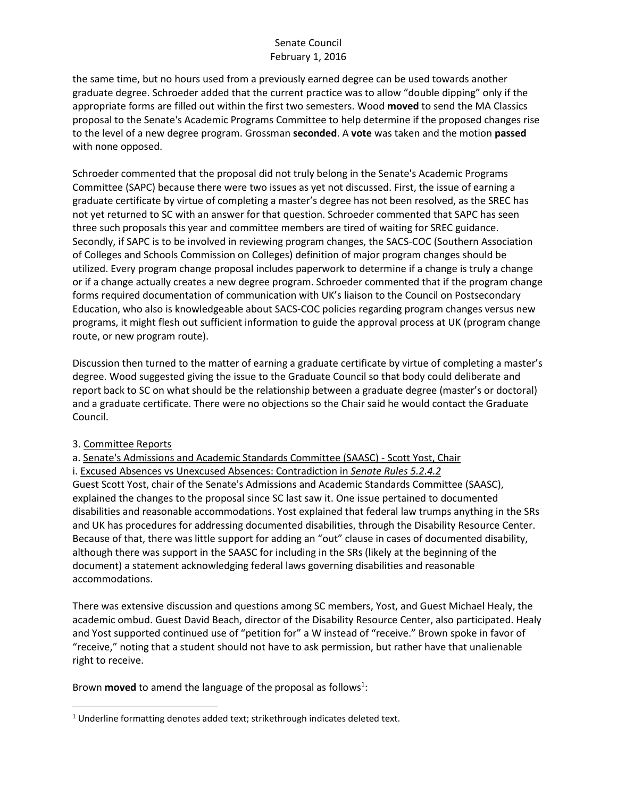the same time, but no hours used from a previously earned degree can be used towards another graduate degree. Schroeder added that the current practice was to allow "double dipping" only if the appropriate forms are filled out within the first two semesters. Wood **moved** to send the MA Classics proposal to the Senate's Academic Programs Committee to help determine if the proposed changes rise to the level of a new degree program. Grossman **seconded**. A **vote** was taken and the motion **passed** with none opposed.

Schroeder commented that the proposal did not truly belong in the Senate's Academic Programs Committee (SAPC) because there were two issues as yet not discussed. First, the issue of earning a graduate certificate by virtue of completing a master's degree has not been resolved, as the SREC has not yet returned to SC with an answer for that question. Schroeder commented that SAPC has seen three such proposals this year and committee members are tired of waiting for SREC guidance. Secondly, if SAPC is to be involved in reviewing program changes, the SACS-COC (Southern Association of Colleges and Schools Commission on Colleges) definition of major program changes should be utilized. Every program change proposal includes paperwork to determine if a change is truly a change or if a change actually creates a new degree program. Schroeder commented that if the program change forms required documentation of communication with UK's liaison to the Council on Postsecondary Education, who also is knowledgeable about SACS-COC policies regarding program changes versus new programs, it might flesh out sufficient information to guide the approval process at UK (program change route, or new program route).

Discussion then turned to the matter of earning a graduate certificate by virtue of completing a master's degree. Wood suggested giving the issue to the Graduate Council so that body could deliberate and report back to SC on what should be the relationship between a graduate degree (master's or doctoral) and a graduate certificate. There were no objections so the Chair said he would contact the Graduate Council.

#### 3. Committee Reports

a. Senate's Admissions and Academic Standards Committee (SAASC) - Scott Yost, Chair

i. Excused Absences vs Unexcused Absences: Contradiction in *Senate Rules 5.2.4.2* Guest Scott Yost, chair of the Senate's Admissions and Academic Standards Committee (SAASC), explained the changes to the proposal since SC last saw it. One issue pertained to documented disabilities and reasonable accommodations. Yost explained that federal law trumps anything in the SRs and UK has procedures for addressing documented disabilities, through the Disability Resource Center. Because of that, there was little support for adding an "out" clause in cases of documented disability, although there was support in the SAASC for including in the SRs (likely at the beginning of the document) a statement acknowledging federal laws governing disabilities and reasonable accommodations.

There was extensive discussion and questions among SC members, Yost, and Guest Michael Healy, the academic ombud. Guest David Beach, director of the Disability Resource Center, also participated. Healy and Yost supported continued use of "petition for" a W instead of "receive." Brown spoke in favor of "receive," noting that a student should not have to ask permission, but rather have that unalienable right to receive.

Brown **moved** to amend the language of the proposal as follows<sup>1</sup>:

 $\overline{\phantom{a}}$ <sup>1</sup> Underline formatting denotes added text; strikethrough indicates deleted text.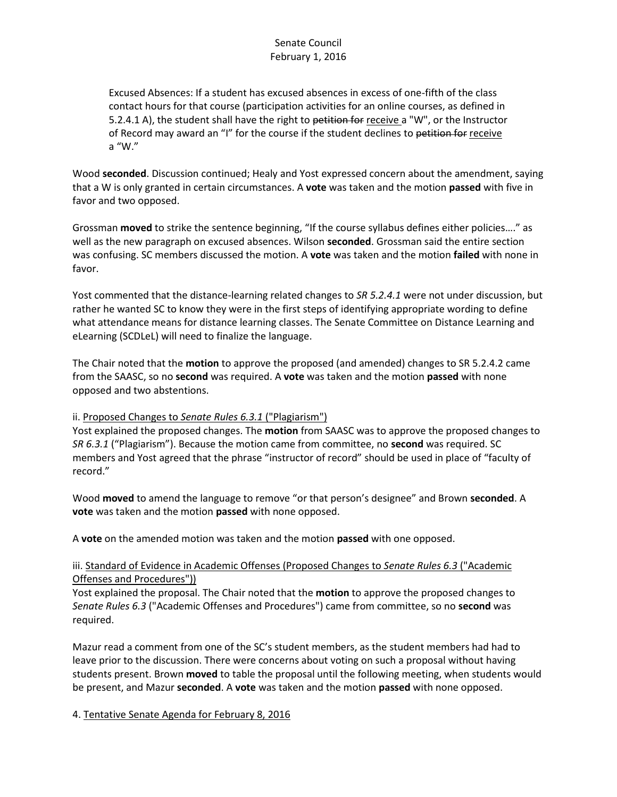Excused Absences: If a student has excused absences in excess of one-fifth of the class contact hours for that course (participation activities for an online courses, as defined in 5.2.4.1 A), the student shall have the right to petition for receive a "W", or the Instructor of Record may award an "I" for the course if the student declines to petition for receive a "W."

Wood **seconded**. Discussion continued; Healy and Yost expressed concern about the amendment, saying that a W is only granted in certain circumstances. A **vote** was taken and the motion **passed** with five in favor and two opposed.

Grossman **moved** to strike the sentence beginning, "If the course syllabus defines either policies…." as well as the new paragraph on excused absences. Wilson **seconded**. Grossman said the entire section was confusing. SC members discussed the motion. A **vote** was taken and the motion **failed** with none in favor.

Yost commented that the distance-learning related changes to *SR 5.2.4.1* were not under discussion, but rather he wanted SC to know they were in the first steps of identifying appropriate wording to define what attendance means for distance learning classes. The Senate Committee on Distance Learning and eLearning (SCDLeL) will need to finalize the language.

The Chair noted that the **motion** to approve the proposed (and amended) changes to SR 5.2.4.2 came from the SAASC, so no **second** was required. A **vote** was taken and the motion **passed** with none opposed and two abstentions.

### ii. Proposed Changes to *Senate Rules 6.3.1* ("Plagiarism")

Yost explained the proposed changes. The **motion** from SAASC was to approve the proposed changes to *SR 6.3.1* ("Plagiarism"). Because the motion came from committee, no **second** was required. SC members and Yost agreed that the phrase "instructor of record" should be used in place of "faculty of record."

Wood **moved** to amend the language to remove "or that person's designee" and Brown **seconded**. A **vote** was taken and the motion **passed** with none opposed.

A **vote** on the amended motion was taken and the motion **passed** with one opposed.

### iii. Standard of Evidence in Academic Offenses (Proposed Changes to *Senate Rules 6.3* ("Academic Offenses and Procedures"))

Yost explained the proposal. The Chair noted that the **motion** to approve the proposed changes to *Senate Rules 6.3* ("Academic Offenses and Procedures") came from committee, so no **second** was required.

Mazur read a comment from one of the SC's student members, as the student members had had to leave prior to the discussion. There were concerns about voting on such a proposal without having students present. Brown **moved** to table the proposal until the following meeting, when students would be present, and Mazur **seconded**. A **vote** was taken and the motion **passed** with none opposed.

4. Tentative Senate Agenda for February 8, 2016